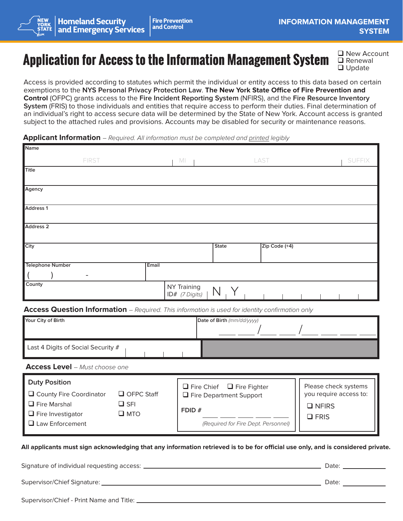# **Application for Access to the Information Management System**

 $\Box$  New Account  $\Box$  Renewal  $\Box$  Update

Access is provided according to statutes which permit the individual or entity access to this data based on certain exemptions to the **NYS Personal Privacy Protection Law**. **The New York State Office of Fire Prevention and Control** (OFPC) grants access to the **Fire Incident Reporting System** (NFIRS), and the **Fire Resource Inventory System** (FRIS) to those individuals and entities that require access to perform their duties. Final determination of an individual's right to access secure data will be determined by the State of New York. Account access is granted subject to the attached rules and provisions. Accounts may be disabled for security or maintenance reasons.

### **Applicant Information** *– Required. All information must be completed and printed legibly*

| Name                                                                                            |                                                                  |               |                                                |
|-------------------------------------------------------------------------------------------------|------------------------------------------------------------------|---------------|------------------------------------------------|
| FIRST                                                                                           | MI                                                               | LAST          | <b>SUFFIX</b>                                  |
| Title                                                                                           |                                                                  |               |                                                |
|                                                                                                 |                                                                  |               |                                                |
| Agency                                                                                          |                                                                  |               |                                                |
| <b>Address 1</b>                                                                                |                                                                  |               |                                                |
|                                                                                                 |                                                                  |               |                                                |
| <b>Address 2</b>                                                                                |                                                                  |               |                                                |
|                                                                                                 |                                                                  |               |                                                |
| City                                                                                            | <b>State</b>                                                     | Zip Code (+4) |                                                |
| <b>Telephone Number</b><br>Email                                                                |                                                                  |               |                                                |
|                                                                                                 |                                                                  |               |                                                |
| County<br>NY Training                                                                           |                                                                  |               |                                                |
| N<br>$ID#$ (7 Digits)                                                                           |                                                                  |               |                                                |
| Access Question Information - Required. This information is used for identity confirmation only |                                                                  |               |                                                |
| Your City of Birth<br>Date of Birth (mm/dd/yyyy)                                                |                                                                  |               |                                                |
|                                                                                                 |                                                                  |               |                                                |
| Last 4 Digits of Social Security #                                                              |                                                                  |               |                                                |
|                                                                                                 |                                                                  |               |                                                |
| <b>Access Level</b> - Must choose one                                                           |                                                                  |               |                                                |
| <b>Duty Position</b>                                                                            |                                                                  |               |                                                |
| County Fire Coordinator<br>OFPC Staff                                                           | $\Box$ Fire Chief $\Box$ Fire Fighter<br>Fire Department Support |               | Please check systems<br>you require access to: |
| $\Box$ Fire Marshal<br>$\Box$ SFI                                                               |                                                                  |               | $\Box$ NFIRS                                   |
| $\Box$ Fire Investigator<br>$\square$ MTO                                                       | FDID#<br>$\Box$ FRIS                                             |               |                                                |
| $\Box$ Law Enforcement                                                                          | (Required for Fire Dept. Personnel)                              |               |                                                |
|                                                                                                 |                                                                  |               |                                                |

#### **All applicants must sign acknowledging that any information retrieved is to be for official use only, and is considered private.**

Date: Signature of individual requesting access:Supervisor/Chief Signature: Date: Supervisor/Chief - Print Name and Title: